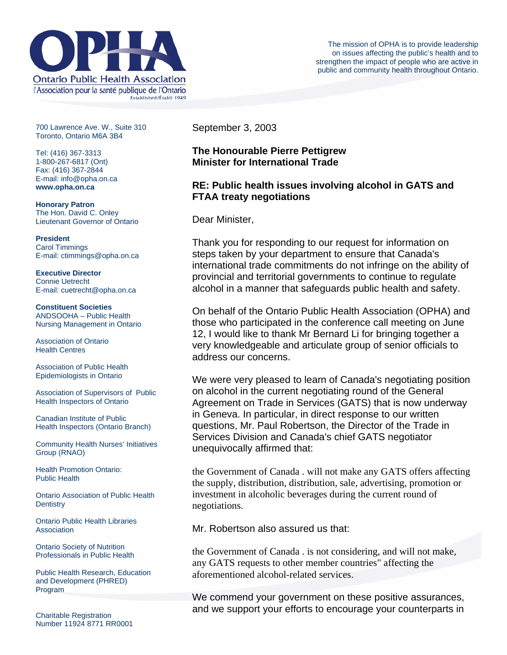

700 Lawrence Ave. W., Suite 310 Toronto, Ontario M6A 3B4

Tel: (416) 367-3313 1-800-267-6817 (Ont) Fax: (416) 367-2844 E-mail: info@opha.on.ca **www.opha.on.ca** 

**Honorary Patron**  The Hon. David C. Onley Lieutenant Governor of Ontario

**President**  Carol Timmings E-mail: ctimmings@opha.on.ca

**Executive Director**  Connie Uetrecht E-mail: cuetrecht@opha.on.ca

**Constituent Societies**  ANDSOOHA – Public Health Nursing Management in Ontario

Association of Ontario Health Centres

Association of Public Health Epidemiologists in Ontario

Association of Supervisors of Public Health Inspectors of Ontario

Canadian Institute of Public Health Inspectors (Ontario Branch)

Community Health Nurses' Initiatives Group (RNAO)

Health Promotion Ontario: Public Health

Ontario Association of Public Health **Dentistry** 

Ontario Public Health Libraries **Association** 

Ontario Society of Nutrition Professionals in Public Health

Public Health Research, Education and Development (PHRED) Program

Charitable Registration Number 11924 8771 RR0001 September 3, 2003

## **The Honourable Pierre Pettigrew Minister for International Trade**

# **RE: Public health issues involving alcohol in GATS and FTAA treaty negotiations**

Dear Minister,

Thank you for responding to our request for information on steps taken by your department to ensure that Canada's international trade commitments do not infringe on the ability of provincial and territorial governments to continue to regulate alcohol in a manner that safeguards public health and safety.

On behalf of the Ontario Public Health Association (OPHA) and those who participated in the conference call meeting on June 12, I would like to thank Mr Bernard Li for bringing together a very knowledgeable and articulate group of senior officials to address our concerns.

We were very pleased to learn of Canada's negotiating position on alcohol in the current negotiating round of the General Agreement on Trade in Services (GATS) that is now underway in Geneva. In particular, in direct response to our written questions, Mr. Paul Robertson, the Director of the Trade in Services Division and Canada's chief GATS negotiator unequivocally affirmed that:

the Government of Canada . will not make any GATS offers affecting the supply, distribution, distribution, sale, advertising, promotion or investment in alcoholic beverages during the current round of negotiations.

Mr. Robertson also assured us that:

the Government of Canada . is not considering, and will not make, any GATS requests to other member countries" affecting the aforementioned alcohol-related services.

We commend your government on these positive assurances, and we support your efforts to encourage your counterparts in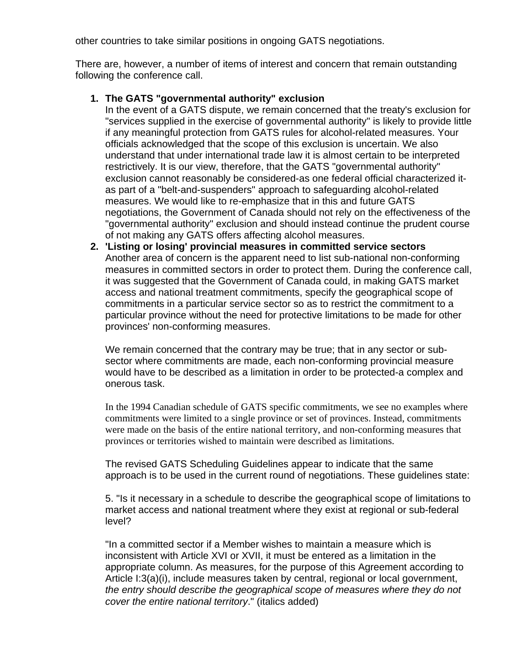other countries to take similar positions in ongoing GATS negotiations.

There are, however, a number of items of interest and concern that remain outstanding following the conference call.

## **1. The GATS "governmental authority" exclusion**

In the event of a GATS dispute, we remain concerned that the treaty's exclusion for "services supplied in the exercise of governmental authority" is likely to provide little if any meaningful protection from GATS rules for alcohol-related measures. Your officials acknowledged that the scope of this exclusion is uncertain. We also understand that under international trade law it is almost certain to be interpreted restrictively. It is our view, therefore, that the GATS "governmental authority" exclusion cannot reasonably be considered-as one federal official characterized itas part of a "belt-and-suspenders" approach to safeguarding alcohol-related measures. We would like to re-emphasize that in this and future GATS negotiations, the Government of Canada should not rely on the effectiveness of the "governmental authority" exclusion and should instead continue the prudent course of not making any GATS offers affecting alcohol measures.

**2. 'Listing or losing' provincial measures in committed service sectors** Another area of concern is the apparent need to list sub-national non-conforming measures in committed sectors in order to protect them. During the conference call, it was suggested that the Government of Canada could, in making GATS market access and national treatment commitments, specify the geographical scope of commitments in a particular service sector so as to restrict the commitment to a particular province without the need for protective limitations to be made for other provinces' non-conforming measures.

We remain concerned that the contrary may be true; that in any sector or subsector where commitments are made, each non-conforming provincial measure would have to be described as a limitation in order to be protected-a complex and onerous task.

In the 1994 Canadian schedule of GATS specific commitments, we see no examples where commitments were limited to a single province or set of provinces. Instead, commitments were made on the basis of the entire national territory, and non-conforming measures that provinces or territories wished to maintain were described as limitations.

The revised GATS Scheduling Guidelines appear to indicate that the same approach is to be used in the current round of negotiations. These guidelines state:

5. "Is it necessary in a schedule to describe the geographical scope of limitations to market access and national treatment where they exist at regional or sub-federal level?

"In a committed sector if a Member wishes to maintain a measure which is inconsistent with Article XVI or XVII, it must be entered as a limitation in the appropriate column. As measures, for the purpose of this Agreement according to Article I:3(a)(i), include measures taken by central, regional or local government, *the entry should describe the geographical scope of measures where they do not cover the entire national territory*." (italics added)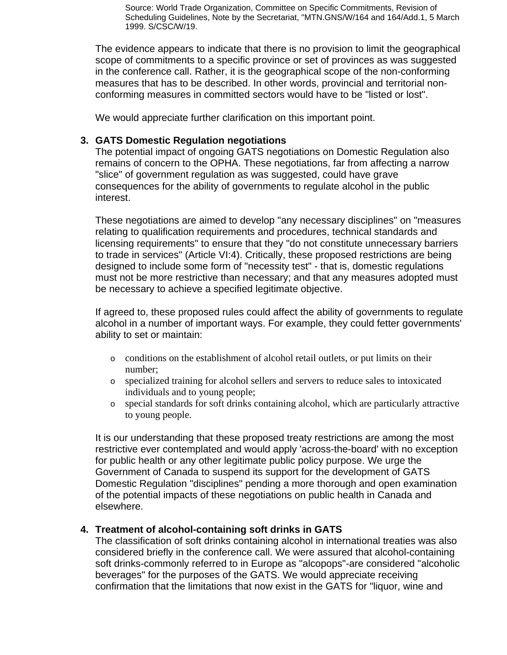Source: World Trade Organization, Committee on Specific Commitments, Revision of Scheduling Guidelines, Note by the Secretariat, "MTN.GNS/W/164 and 164/Add.1, 5 March 1999. S/CSC/W/19.

The evidence appears to indicate that there is no provision to limit the geographical scope of commitments to a specific province or set of provinces as was suggested in the conference call. Rather, it is the geographical scope of the non-conforming measures that has to be described. In other words, provincial and territorial nonconforming measures in committed sectors would have to be "listed or lost".

We would appreciate further clarification on this important point.

## **3. GATS Domestic Regulation negotiations**

The potential impact of ongoing GATS negotiations on Domestic Regulation also remains of concern to the OPHA. These negotiations, far from affecting a narrow "slice" of government regulation as was suggested, could have grave consequences for the ability of governments to regulate alcohol in the public interest.

These negotiations are aimed to develop "any necessary disciplines" on "measures relating to qualification requirements and procedures, technical standards and licensing requirements" to ensure that they "do not constitute unnecessary barriers to trade in services" (Article VI:4). Critically, these proposed restrictions are being designed to include some form of "necessity test" - that is, domestic regulations must not be more restrictive than necessary; and that any measures adopted must be necessary to achieve a specified legitimate objective.

If agreed to, these proposed rules could affect the ability of governments to regulate alcohol in a number of important ways. For example, they could fetter governments' ability to set or maintain:

- o conditions on the establishment of alcohol retail outlets, or put limits on their number;
- o specialized training for alcohol sellers and servers to reduce sales to intoxicated individuals and to young people;
- o special standards for soft drinks containing alcohol, which are particularly attractive to young people.

It is our understanding that these proposed treaty restrictions are among the most restrictive ever contemplated and would apply 'across-the-board' with no exception for public health or any other legitimate public policy purpose. We urge the Government of Canada to suspend its support for the development of GATS Domestic Regulation "disciplines" pending a more thorough and open examination of the potential impacts of these negotiations on public health in Canada and elsewhere.

### **4. Treatment of alcohol-containing soft drinks in GATS**

The classification of soft drinks containing alcohol in international treaties was also considered briefly in the conference call. We were assured that alcohol-containing soft drinks-commonly referred to in Europe as "alcopops"-are considered "alcoholic beverages" for the purposes of the GATS. We would appreciate receiving confirmation that the limitations that now exist in the GATS for "liquor, wine and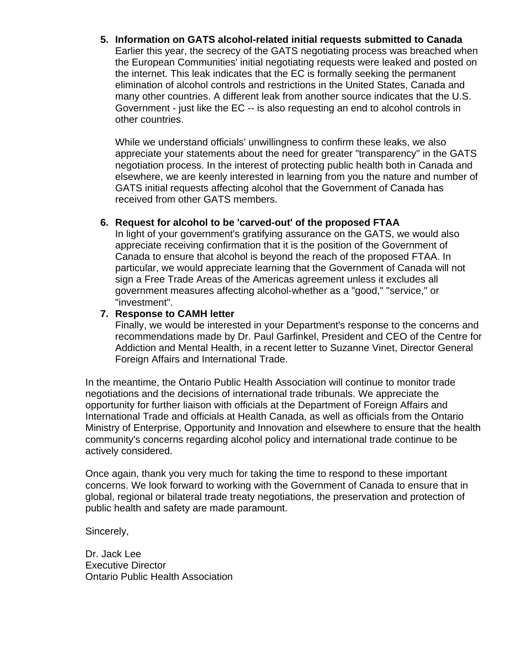**5. Information on GATS alcohol-related initial requests submitted to Canada** Earlier this year, the secrecy of the GATS negotiating process was breached when the European Communities' initial negotiating requests were leaked and posted on the internet. This leak indicates that the EC is formally seeking the permanent elimination of alcohol controls and restrictions in the United States, Canada and many other countries. A different leak from another source indicates that the U.S. Government - just like the EC -- is also requesting an end to alcohol controls in other countries.

While we understand officials' unwillingness to confirm these leaks, we also appreciate your statements about the need for greater "transparency" in the GATS negotiation process. In the interest of protecting public health both in Canada and elsewhere, we are keenly interested in learning from you the nature and number of GATS initial requests affecting alcohol that the Government of Canada has received from other GATS members.

## **6. Request for alcohol to be 'carved-out' of the proposed FTAA**

In light of your government's gratifying assurance on the GATS, we would also appreciate receiving confirmation that it is the position of the Government of Canada to ensure that alcohol is beyond the reach of the proposed FTAA. In particular, we would appreciate learning that the Government of Canada will not sign a Free Trade Areas of the Americas agreement unless it excludes all government measures affecting alcohol-whether as a "good," "service," or "investment".

### **7. Response to CAMH letter**

Finally, we would be interested in your Department's response to the concerns and recommendations made by Dr. Paul Garfinkel, President and CEO of the Centre for Addiction and Mental Health, in a recent letter to Suzanne Vinet, Director General Foreign Affairs and International Trade.

In the meantime, the Ontario Public Health Association will continue to monitor trade negotiations and the decisions of international trade tribunals. We appreciate the opportunity for further liaison with officials at the Department of Foreign Affairs and International Trade and officials at Health Canada, as well as officials from the Ontario Ministry of Enterprise, Opportunity and Innovation and elsewhere to ensure that the health community's concerns regarding alcohol policy and international trade continue to be actively considered.

Once again, thank you very much for taking the time to respond to these important concerns. We look forward to working with the Government of Canada to ensure that in global, regional or bilateral trade treaty negotiations, the preservation and protection of public health and safety are made paramount.

Sincerely,

Dr. Jack Lee Executive Director Ontario Public Health Association